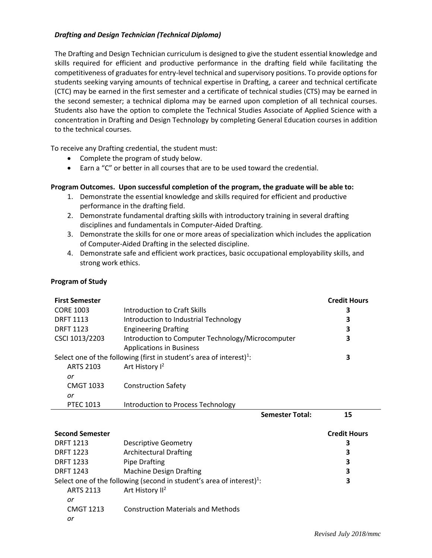## *Drafting and Design Technician (Technical Diploma)*

The Drafting and Design Technician curriculum is designed to give the student essential knowledge and skills required for efficient and productive performance in the drafting field while facilitating the competitiveness of graduates for entry-level technical and supervisory positions. To provide options for students seeking varying amounts of technical expertise in Drafting, a career and technical certificate (CTC) may be earned in the first semester and a certificate of technical studies (CTS) may be earned in the second semester; a technical diploma may be earned upon completion of all technical courses. Students also have the option to complete the Technical Studies Associate of Applied Science with a concentration in Drafting and Design Technology by completing General Education courses in addition to the technical courses.

To receive any Drafting credential, the student must:

- Complete the program of study below.
- Earn a "C" or better in all courses that are to be used toward the credential.

## **Program Outcomes. Upon successful completion of the program, the graduate will be able to:**

- 1. Demonstrate the essential knowledge and skills required for efficient and productive performance in the drafting field.
- 2. Demonstrate fundamental drafting skills with introductory training in several drafting disciplines and fundamentals in Computer-Aided Drafting.
- 3. Demonstrate the skills for one or more areas of specialization which includes the application of Computer-Aided Drafting in the selected discipline.
- 4. Demonstrate safe and efficient work practices, basic occupational employability skills, and strong work ethics.

## **Program of Study**

| <b>First Semester</b>  |                                                                                  | <b>Credit Hours</b> |
|------------------------|----------------------------------------------------------------------------------|---------------------|
| <b>CORE 1003</b>       | Introduction to Craft Skills                                                     | 3                   |
| <b>DRFT 1113</b>       | Introduction to Industrial Technology                                            | 3                   |
| <b>DRFT 1123</b>       | <b>Engineering Drafting</b>                                                      | 3                   |
| CSCI 1013/2203         | Introduction to Computer Technology/Microcomputer                                | 3                   |
|                        | <b>Applications in Business</b>                                                  |                     |
|                        | Select one of the following (first in student's area of interest) <sup>1</sup> : | 3                   |
| <b>ARTS 2103</b>       | Art History I <sup>2</sup>                                                       |                     |
| or                     |                                                                                  |                     |
| <b>CMGT 1033</b>       | <b>Construction Safety</b>                                                       |                     |
| or                     |                                                                                  |                     |
| <b>PTEC 1013</b>       | Introduction to Process Technology                                               |                     |
|                        |                                                                                  |                     |
|                        | <b>Semester Total:</b>                                                           | 15                  |
|                        |                                                                                  |                     |
| <b>Second Semester</b> |                                                                                  | <b>Credit Hours</b> |
| <b>DRFT 1213</b>       | <b>Descriptive Geometry</b>                                                      | 3                   |
| <b>DRFT 1223</b>       | <b>Architectural Drafting</b>                                                    | 3                   |
| <b>DRFT 1233</b>       | <b>Pipe Drafting</b>                                                             | 3                   |
| <b>DRFT 1243</b>       | <b>Machine Design Drafting</b>                                                   | 3                   |
|                        | Select one of the following (second in student's area of interest) $1$ :         | 3                   |
| <b>ARTS 2113</b>       | Art History II <sup>2</sup>                                                      |                     |
| or                     |                                                                                  |                     |
| <b>CMGT 1213</b>       | <b>Construction Materials and Methods</b>                                        |                     |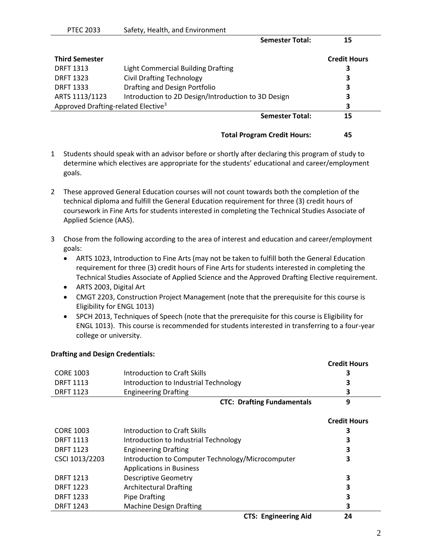| <b>Credit Hours</b>          |
|------------------------------|
| 3                            |
| 3                            |
| 3                            |
| 3                            |
| 3                            |
| <b>Semester Total:</b><br>15 |
|                              |

**Total Program Credit Hours: 45**

- 1 Students should speak with an advisor before or shortly after declaring this program of study to determine which electives are appropriate for the students' educational and career/employment goals.
- 2 These approved General Education courses will not count towards both the completion of the technical diploma and fulfill the General Education requirement for three (3) credit hours of coursework in Fine Arts for students interested in completing the Technical Studies Associate of Applied Science (AAS).
- 3 Chose from the following according to the area of interest and education and career/employment goals:
	- ARTS 1023, Introduction to Fine Arts (may not be taken to fulfill both the General Education requirement for three (3) credit hours of Fine Arts for students interested in completing the Technical Studies Associate of Applied Science and the Approved Drafting Elective requirement.
	- ARTS 2003, Digital Art
	- CMGT 2203, Construction Project Management (note that the prerequisite for this course is Eligibility for ENGL 1013)
	- SPCH 2013, Techniques of Speech (note that the prerequisite for this course is Eligibility for ENGL 1013). This course is recommended for students interested in transferring to a four-year college or university.

## **Drafting and Design Credentials:**

|                  |                                                   | Crean Hours         |
|------------------|---------------------------------------------------|---------------------|
| <b>CORE 1003</b> | Introduction to Craft Skills                      | 3                   |
| <b>DRFT 1113</b> | Introduction to Industrial Technology             | 3                   |
| <b>DRFT 1123</b> | <b>Engineering Drafting</b>                       | З                   |
|                  | <b>CTC: Drafting Fundamentals</b>                 | 9                   |
|                  |                                                   | <b>Credit Hours</b> |
| <b>CORE 1003</b> | Introduction to Craft Skills                      | 3                   |
| <b>DRFT 1113</b> | Introduction to Industrial Technology             |                     |
| <b>DRFT 1123</b> | <b>Engineering Drafting</b>                       | 3                   |
| CSCI 1013/2203   | Introduction to Computer Technology/Microcomputer | 3                   |
|                  | <b>Applications in Business</b>                   |                     |
| <b>DRFT 1213</b> | <b>Descriptive Geometry</b>                       | 3                   |
| <b>DRFT 1223</b> | <b>Architectural Drafting</b>                     | 3                   |
| <b>DRFT 1233</b> | <b>Pipe Drafting</b>                              | 3                   |
| <b>DRFT 1243</b> | <b>Machine Design Drafting</b>                    | з                   |
|                  | <b>CTS: Engineering Aid</b>                       | 24                  |

**Credit Hours**